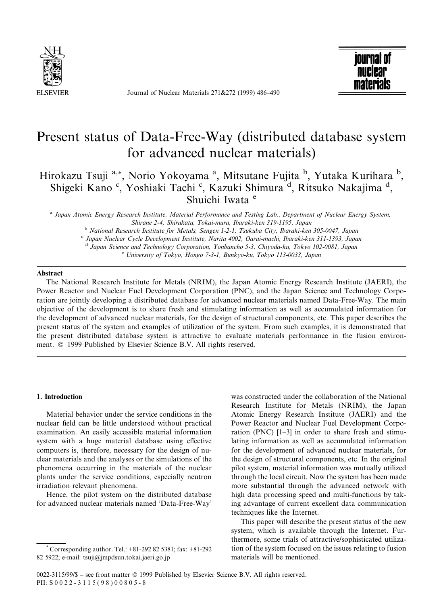

Journal of Nuclear Materials 271&272 (1999) 486-490



# Present status of Data-Free-Way (distributed database system for advanced nuclear materials)

Hirokazu Tsuji <sup>a,\*</sup>, Norio Yokoyama<sup>a</sup>, Mitsutane Fujita <sup>b</sup>, Yutaka Kurihara <sup>b</sup>, Shigeki Kano<sup>c</sup>, Yoshiaki Tachi<sup>c</sup>, Kazuki Shimura<sup>d</sup>, Ritsuko Nakajima<sup>d</sup>, Shuichi Iwata<sup>e</sup>

<sup>a</sup> Japan Atomic Energy Research Institute, Material Performance and Testing Lab., Department of Nuclear Energy System, Shirane 2-4, Shirakata, Tokai-mura, Ibaraki-ken 319-1195, Japan b National Research Institute for Metals, Sengen 1-2-1, Tsukuba City, Ibaraki-ken 305-0047, Japan C Japan Nuclear Cycle Development Institute, Narita 4002, Oarai-machi, Ibaraki-ken 311-1393, Japan

d Japan Science and Technology Corporation, Yonbancho 5-3, Chiyoda-ku, Tokyo 102-0081, Japan e University of Tokyo, Hongo 7-3-1, Bunkyo-ku, Tokyo 113-0033, Japan

### Abstract

The National Research Institute for Metals (NRIM), the Japan Atomic Energy Research Institute (JAERI), the Power Reactor and Nuclear Fuel Development Corporation (PNC), and the Japan Science and Technology Corporation are jointly developing a distributed database for advanced nuclear materials named Data-Free-Way. The main objective of the development is to share fresh and stimulating information as well as accumulated information for the development of advanced nuclear materials, for the design of structural components, etc. This paper describes the present status of the system and examples of utilization of the system. From such examples, it is demonstrated that the present distributed database system is attractive to evaluate materials performance in the fusion environment. © 1999 Published by Elsevier Science B.V. All rights reserved.

## 1. Introduction

Material behavior under the service conditions in the nuclear field can be little understood without practical examination. An easily accessible material information system with a huge material database using effective computers is, therefore, necessary for the design of nuclear materials and the analyses or the simulations of the phenomena occurring in the materials of the nuclear plants under the service conditions, especially neutron irradiation relevant phenomena.

Hence, the pilot system on the distributed database for advanced nuclear materials named `Data-Free-Way'

\* Corresponding author. Tel.: +81-292 82 5381; fax: +81-292 82 5922; e-mail: tsuji@jmpdsun.tokai.jaeri.go.jp

was constructed under the collaboration of the National Research Institute for Metals (NRIM), the Japan Atomic Energy Research Institute (JAERI) and the Power Reactor and Nuclear Fuel Development Corporation (PNC)  $[1-3]$  in order to share fresh and stimulating information as well as accumulated information for the development of advanced nuclear materials, for the design of structural components, etc. In the original pilot system, material information was mutually utilized through the local circuit. Now the system has been made more substantial through the advanced network with high data processing speed and multi-functions by taking advantage of current excellent data communication techniques like the Internet.

This paper will describe the present status of the new system, which is available through the Internet. Furthermore, some trials of attractive/sophisticated utilization of the system focused on the issues relating to fusion materials will be mentioned.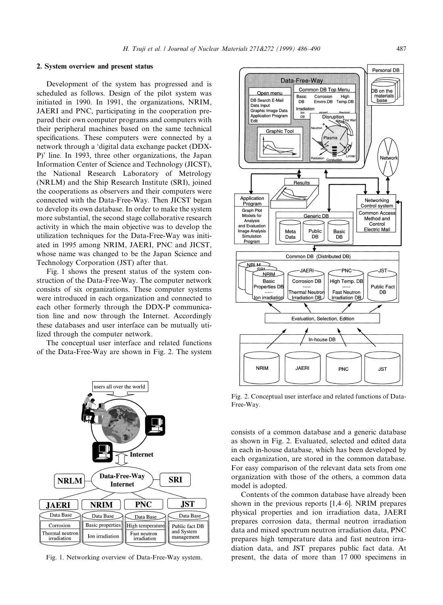## 2. System overview and present status

Development of the system has progressed and is scheduled as follows. Design of the pilot system was initiated in 1990. In 1991, the organizations, NRIM, JAERI and PNC, participating in the cooperation prepared their own computer programs and computers with their peripheral machines based on the same technical specifications. These computers were connected by a network through a `digital data exchange packet (DDX-P)' line. In 1993, three other organizations, the Japan Information Center of Science and Technology (JICST), the National Research Laboratory of Metrology (NRLM) and the Ship Research Institute (SRI), joined the cooperations as observers and their computers were connected with the Data-Free-Way. Then JICST began to develop its own database. In order to make the system more substantial, the second stage collaborative research activity in which the main objective was to develop the utilization techniques for the Data-Free-Way was initiated in 1995 among NRIM, JAERI, PNC and JICST, whose name was changed to be the Japan Science and Technology Corporation (JST) after that.

Fig. 1 shows the present status of the system construction of the Data-Free-Way. The computer network consists of six organizations. These computer systems were introduced in each organization and connected to each other formerly through the DDX-P communication line and now through the Internet. Accordingly these databases and user interface can be mutually utilized through the computer network.

The conceptual user interface and related functions of the Data-Free-Way are shown in Fig. 2. The system





Fig. 2. Conceptual user interface and related functions of Data-Free-Way.

consists of a common database and a generic database as shown in Fig. 2. Evaluated, selected and edited data in each in-house database, which has been developed by each organization, are stored in the common database. For easy comparison of the relevant data sets from one organization with those of the others, a common data model is adopted.

Contents of the common database have already been shown in the previous reports  $[1,4–6]$ . NRIM prepares physical properties and ion irradiation data, JAERI prepares corrosion data, thermal neutron irradiation data and mixed spectrum neutron irradiation data, PNC prepares high temperature data and fast neutron irradiation data, and JST prepares public fact data. At Fig. 1. Networking overview of Data-Free-Way system. present, the data of more than 17 000 specimens in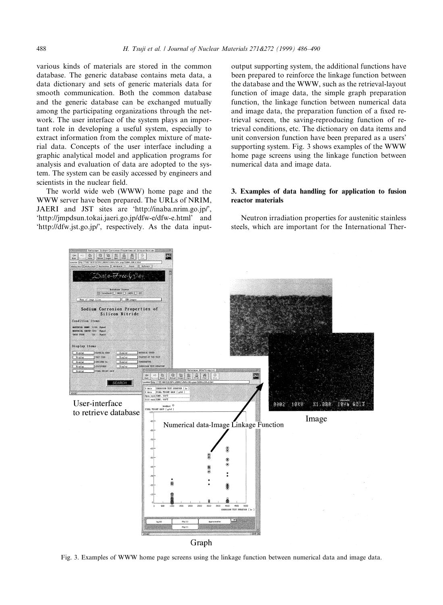various kinds of materials are stored in the common database. The generic database contains meta data, a data dictionary and sets of generic materials data for smooth communication. Both the common database and the generic database can be exchanged mutually among the participating organizations through the network. The user interface of the system plays an important role in developing a useful system, especially to extract information from the complex mixture of material data. Concepts of the user interface including a graphic analytical model and application programs for analysis and evaluation of data are adopted to the system. The system can be easily accessed by engineers and scientists in the nuclear field.

The world wide web (WWW) home page and the WWW server have been prepared. The URLs of NRIM, JAERI and JST sites are `http://inaba.nrim.go.jp/', `http://jmpdsun.tokai.jaeri.go.jp/dfw-e/dfw-e.html' and `http://dfw.jst.go.jp/', respectively. As the data input-

output supporting system, the additional functions have been prepared to reinforce the linkage function between the database and the WWW, such as the retrieval-layout function of image data, the simple graph preparation function, the linkage function between numerical data and image data, the preparation function of a fixed retrieval screen, the saving-reproducing function of retrieval conditions, etc. The dictionary on data items and unit conversion function have been prepared as a users' supporting system. Fig. 3 shows examples of the WWW home page screens using the linkage function between numerical data and image data.

# 3. Examples of data handling for application to fusion reactor materials

Neutron irradiation properties for austenitic stainless steels, which are important for the International Ther-



Fig. 3. Examples of WWW home page screens using the linkage function between numerical data and image data.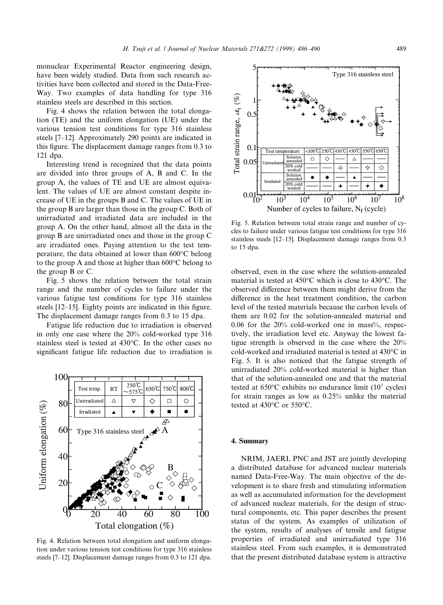monuclear Experimental Reactor engineering design, have been widely studied. Data from such research activities have been collected and stored in the Data-Free-Way. Two examples of data handling for type 316 stainless steels are described in this section.

Fig. 4 shows the relation between the total elongation (TE) and the uniform elongation (UE) under the various tension test conditions for type 316 stainless steels [7-12]. Approximately 290 points are indicated in this figure. The displacement damage ranges from 0.3 to 121 dpa.

Interesting trend is recognized that the data points are divided into three groups of A, B and C. In the group A, the values of TE and UE are almost equivalent. The values of UE are almost constant despite increase of UE in the groups B and C. The values of UE in the group B are larger than those in the group C. Both of unirradiated and irradiated data are included in the group A. On the other hand, almost all the data in the group B are unirradiated ones and those in the group C are irradiated ones. Paying attention to the test temperature, the data obtained at lower than 600°C belong to the group A and those at higher than 600°C belong to the group B or C.

Fig. 5 shows the relation between the total strain range and the number of cycles to failure under the various fatigue test conditions for type 316 stainless steels  $[12-15]$ . Eighty points are indicated in this figure. The displacement damage ranges from 0.3 to 15 dpa.

Fatigue life reduction due to irradiation is observed in only one case where the 20% cold-worked type 316 stainless steel is tested at 430°C. In the other cases no significant fatigue life reduction due to irradiation is



Fig. 4. Relation between total elongation and uniform elongation under various tension test conditions for type 316 stainless steels [7-12]. Displacement damage ranges from 0.3 to 121 dpa.



Fig. 5. Relation between total strain range and number of cycles to failure under various fatigue test conditions for type 316 stainless steels [12-15]. Displacement damage ranges from 0.3 to 15 dpa.

observed, even in the case where the solution-annealed material is tested at 450°C which is close to 430°C. The observed difference between them might derive from the difference in the heat treatment condition, the carbon level of the tested materials because the carbon levels of them are 0.02 for the solution-annealed material and  $0.06$  for the  $20\%$  cold-worked one in mass%, respectively, the irradiation level etc. Anyway the lowest fatigue strength is observed in the case where the 20% cold-worked and irradiated material is tested at 430°C in Fig. 5. It is also noticed that the fatigue strength of unirradiated 20% cold-worked material is higher than that of the solution-annealed one and that the material tested at  $650^{\circ}$ C exhibits no endurance limit (10<sup>7</sup> cycles) for strain ranges as low as 0.25% unlike the material tested at 430°C or 550°C.

### 4. Summary

NRIM, JAERI, PNC and JST are jointly developing a distributed database for advanced nuclear materials named Data-Free-Way. The main objective of the development is to share fresh and stimulating information as well as accumulated information for the development of advanced nuclear materials, for the design of structural components, etc. This paper describes the present status of the system. As examples of utilization of the system, results of analyses of tensile and fatigue properties of irradiated and unirradiated type 316 stainless steel. From such examples, it is demonstrated that the present distributed database system is attractive